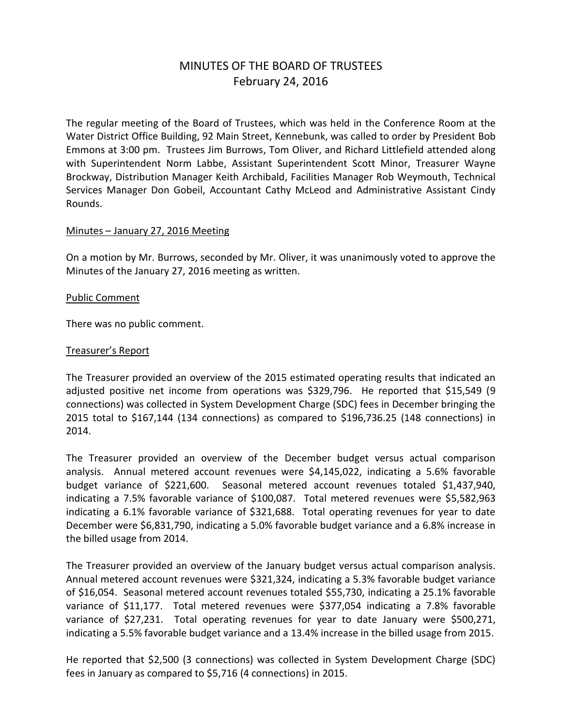# MINUTES OF THE BOARD OF TRUSTEES February 24, 2016

The regular meeting of the Board of Trustees, which was held in the Conference Room at the Water District Office Building, 92 Main Street, Kennebunk, was called to order by President Bob Emmons at 3:00 pm. Trustees Jim Burrows, Tom Oliver, and Richard Littlefield attended along with Superintendent Norm Labbe, Assistant Superintendent Scott Minor, Treasurer Wayne Brockway, Distribution Manager Keith Archibald, Facilities Manager Rob Weymouth, Technical Services Manager Don Gobeil, Accountant Cathy McLeod and Administrative Assistant Cindy Rounds.

# Minutes – January 27, 2016 Meeting

On a motion by Mr. Burrows, seconded by Mr. Oliver, it was unanimously voted to approve the Minutes of the January 27, 2016 meeting as written.

#### Public Comment

There was no public comment.

## Treasurer's Report

The Treasurer provided an overview of the 2015 estimated operating results that indicated an adjusted positive net income from operations was \$329,796. He reported that \$15,549 (9 connections) was collected in System Development Charge (SDC) fees in December bringing the 2015 total to \$167,144 (134 connections) as compared to \$196,736.25 (148 connections) in 2014.

The Treasurer provided an overview of the December budget versus actual comparison analysis. Annual metered account revenues were \$4,145,022, indicating a 5.6% favorable budget variance of \$221,600. Seasonal metered account revenues totaled \$1,437,940, indicating a 7.5% favorable variance of \$100,087. Total metered revenues were \$5,582,963 indicating a 6.1% favorable variance of \$321,688. Total operating revenues for year to date December were \$6,831,790, indicating a 5.0% favorable budget variance and a 6.8% increase in the billed usage from 2014.

The Treasurer provided an overview of the January budget versus actual comparison analysis. Annual metered account revenues were \$321,324, indicating a 5.3% favorable budget variance of \$16,054. Seasonal metered account revenues totaled \$55,730, indicating a 25.1% favorable variance of \$11,177. Total metered revenues were \$377,054 indicating a 7.8% favorable variance of \$27,231. Total operating revenues for year to date January were \$500,271, indicating a 5.5% favorable budget variance and a 13.4% increase in the billed usage from 2015.

He reported that \$2,500 (3 connections) was collected in System Development Charge (SDC) fees in January as compared to \$5,716 (4 connections) in 2015.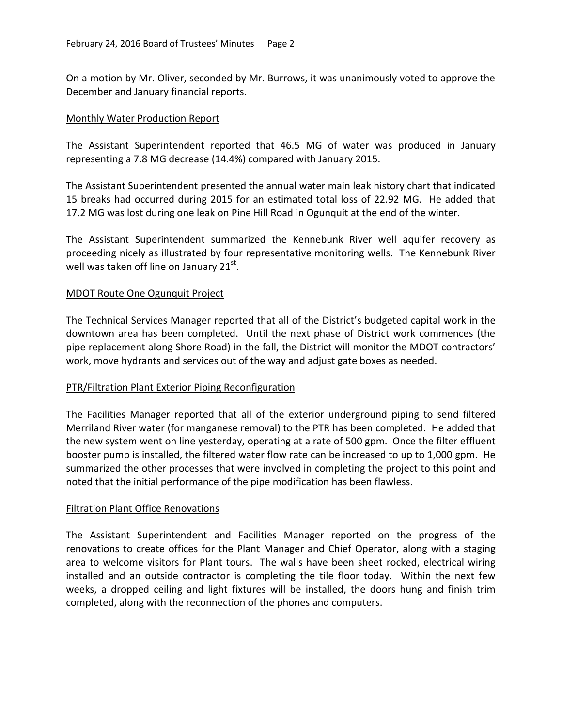On a motion by Mr. Oliver, seconded by Mr. Burrows, it was unanimously voted to approve the December and January financial reports.

## Monthly Water Production Report

The Assistant Superintendent reported that 46.5 MG of water was produced in January representing a 7.8 MG decrease (14.4%) compared with January 2015.

The Assistant Superintendent presented the annual water main leak history chart that indicated 15 breaks had occurred during 2015 for an estimated total loss of 22.92 MG. He added that 17.2 MG was lost during one leak on Pine Hill Road in Ogunquit at the end of the winter.

The Assistant Superintendent summarized the Kennebunk River well aquifer recovery as proceeding nicely as illustrated by four representative monitoring wells. The Kennebunk River well was taken off line on January 21 $^{\rm st}$ .

## MDOT Route One Ogunquit Project

The Technical Services Manager reported that all of the District's budgeted capital work in the downtown area has been completed. Until the next phase of District work commences (the pipe replacement along Shore Road) in the fall, the District will monitor the MDOT contractors' work, move hydrants and services out of the way and adjust gate boxes as needed.

#### PTR/Filtration Plant Exterior Piping Reconfiguration

The Facilities Manager reported that all of the exterior underground piping to send filtered Merriland River water (for manganese removal) to the PTR has been completed. He added that the new system went on line yesterday, operating at a rate of 500 gpm. Once the filter effluent booster pump is installed, the filtered water flow rate can be increased to up to 1,000 gpm. He summarized the other processes that were involved in completing the project to this point and noted that the initial performance of the pipe modification has been flawless.

#### Filtration Plant Office Renovations

The Assistant Superintendent and Facilities Manager reported on the progress of the renovations to create offices for the Plant Manager and Chief Operator, along with a staging area to welcome visitors for Plant tours. The walls have been sheet rocked, electrical wiring installed and an outside contractor is completing the tile floor today. Within the next few weeks, a dropped ceiling and light fixtures will be installed, the doors hung and finish trim completed, along with the reconnection of the phones and computers.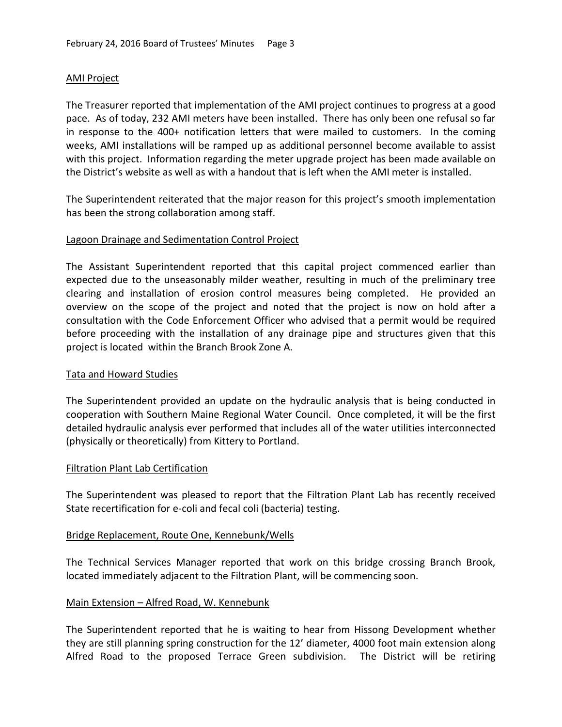## AMI Project

The Treasurer reported that implementation of the AMI project continues to progress at a good pace. As of today, 232 AMI meters have been installed. There has only been one refusal so far in response to the 400+ notification letters that were mailed to customers. In the coming weeks, AMI installations will be ramped up as additional personnel become available to assist with this project. Information regarding the meter upgrade project has been made available on the District's website as well as with a handout that is left when the AMI meter is installed.

The Superintendent reiterated that the major reason for this project's smooth implementation has been the strong collaboration among staff.

## Lagoon Drainage and Sedimentation Control Project

The Assistant Superintendent reported that this capital project commenced earlier than expected due to the unseasonably milder weather, resulting in much of the preliminary tree clearing and installation of erosion control measures being completed. He provided an overview on the scope of the project and noted that the project is now on hold after a consultation with the Code Enforcement Officer who advised that a permit would be required before proceeding with the installation of any drainage pipe and structures given that this project is located within the Branch Brook Zone A.

#### Tata and Howard Studies

The Superintendent provided an update on the hydraulic analysis that is being conducted in cooperation with Southern Maine Regional Water Council. Once completed, it will be the first detailed hydraulic analysis ever performed that includes all of the water utilities interconnected (physically or theoretically) from Kittery to Portland.

#### Filtration Plant Lab Certification

The Superintendent was pleased to report that the Filtration Plant Lab has recently received State recertification for e-coli and fecal coli (bacteria) testing.

#### Bridge Replacement, Route One, Kennebunk/Wells

The Technical Services Manager reported that work on this bridge crossing Branch Brook, located immediately adjacent to the Filtration Plant, will be commencing soon.

#### Main Extension – Alfred Road, W. Kennebunk

The Superintendent reported that he is waiting to hear from Hissong Development whether they are still planning spring construction for the 12' diameter, 4000 foot main extension along Alfred Road to the proposed Terrace Green subdivision. The District will be retiring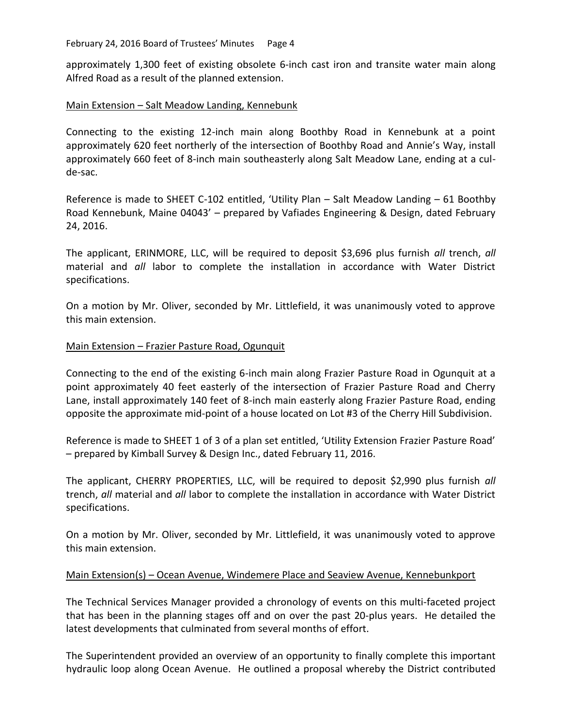February 24, 2016 Board of Trustees' Minutes Page 4

approximately 1,300 feet of existing obsolete 6-inch cast iron and transite water main along Alfred Road as a result of the planned extension.

# Main Extension – Salt Meadow Landing, Kennebunk

Connecting to the existing 12-inch main along Boothby Road in Kennebunk at a point approximately 620 feet northerly of the intersection of Boothby Road and Annie's Way, install approximately 660 feet of 8-inch main southeasterly along Salt Meadow Lane, ending at a culde-sac.

Reference is made to SHEET C-102 entitled, 'Utility Plan – Salt Meadow Landing – 61 Boothby Road Kennebunk, Maine 04043' – prepared by Vafiades Engineering & Design, dated February 24, 2016.

The applicant, ERINMORE, LLC, will be required to deposit \$3,696 plus furnish *all* trench, *all* material and *all* labor to complete the installation in accordance with Water District specifications.

On a motion by Mr. Oliver, seconded by Mr. Littlefield, it was unanimously voted to approve this main extension.

# Main Extension – Frazier Pasture Road, Ogunquit

Connecting to the end of the existing 6-inch main along Frazier Pasture Road in Ogunquit at a point approximately 40 feet easterly of the intersection of Frazier Pasture Road and Cherry Lane, install approximately 140 feet of 8-inch main easterly along Frazier Pasture Road, ending opposite the approximate mid-point of a house located on Lot #3 of the Cherry Hill Subdivision.

Reference is made to SHEET 1 of 3 of a plan set entitled, 'Utility Extension Frazier Pasture Road' – prepared by Kimball Survey & Design Inc., dated February 11, 2016.

The applicant, CHERRY PROPERTIES, LLC, will be required to deposit \$2,990 plus furnish *all* trench, *all* material and *all* labor to complete the installation in accordance with Water District specifications.

On a motion by Mr. Oliver, seconded by Mr. Littlefield, it was unanimously voted to approve this main extension.

# Main Extension(s) – Ocean Avenue, Windemere Place and Seaview Avenue, Kennebunkport

The Technical Services Manager provided a chronology of events on this multi-faceted project that has been in the planning stages off and on over the past 20-plus years. He detailed the latest developments that culminated from several months of effort.

The Superintendent provided an overview of an opportunity to finally complete this important hydraulic loop along Ocean Avenue. He outlined a proposal whereby the District contributed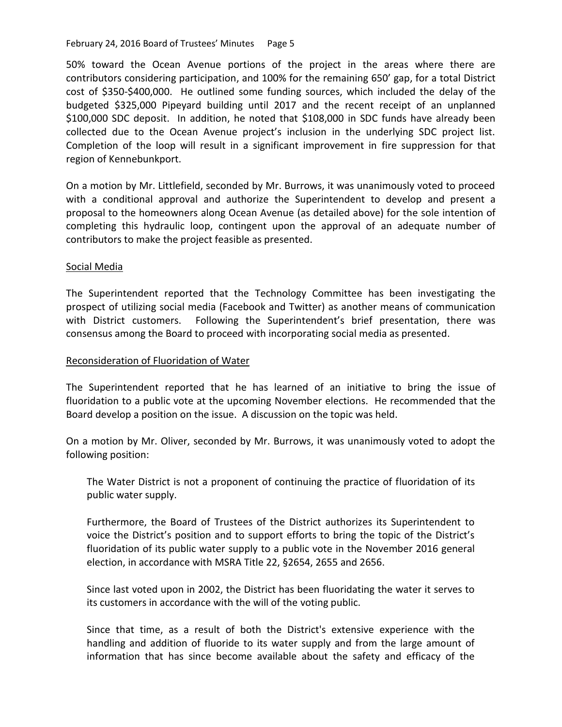#### February 24, 2016 Board of Trustees' Minutes Page 5

50% toward the Ocean Avenue portions of the project in the areas where there are contributors considering participation, and 100% for the remaining 650' gap, for a total District cost of \$350-\$400,000. He outlined some funding sources, which included the delay of the budgeted \$325,000 Pipeyard building until 2017 and the recent receipt of an unplanned \$100,000 SDC deposit. In addition, he noted that \$108,000 in SDC funds have already been collected due to the Ocean Avenue project's inclusion in the underlying SDC project list. Completion of the loop will result in a significant improvement in fire suppression for that region of Kennebunkport.

On a motion by Mr. Littlefield, seconded by Mr. Burrows, it was unanimously voted to proceed with a conditional approval and authorize the Superintendent to develop and present a proposal to the homeowners along Ocean Avenue (as detailed above) for the sole intention of completing this hydraulic loop, contingent upon the approval of an adequate number of contributors to make the project feasible as presented.

# Social Media

The Superintendent reported that the Technology Committee has been investigating the prospect of utilizing social media (Facebook and Twitter) as another means of communication with District customers. Following the Superintendent's brief presentation, there was consensus among the Board to proceed with incorporating social media as presented.

# Reconsideration of Fluoridation of Water

The Superintendent reported that he has learned of an initiative to bring the issue of fluoridation to a public vote at the upcoming November elections. He recommended that the Board develop a position on the issue. A discussion on the topic was held.

On a motion by Mr. Oliver, seconded by Mr. Burrows, it was unanimously voted to adopt the following position:

The Water District is not a proponent of continuing the practice of fluoridation of its public water supply.

Furthermore, the Board of Trustees of the District authorizes its Superintendent to voice the District's position and to support efforts to bring the topic of the District's fluoridation of its public water supply to a public vote in the November 2016 general election, in accordance with MSRA Title 22, §2654, 2655 and 2656.

Since last voted upon in 2002, the District has been fluoridating the water it serves to its customers in accordance with the will of the voting public.

Since that time, as a result of both the District's extensive experience with the handling and addition of fluoride to its water supply and from the large amount of information that has since become available about the safety and efficacy of the